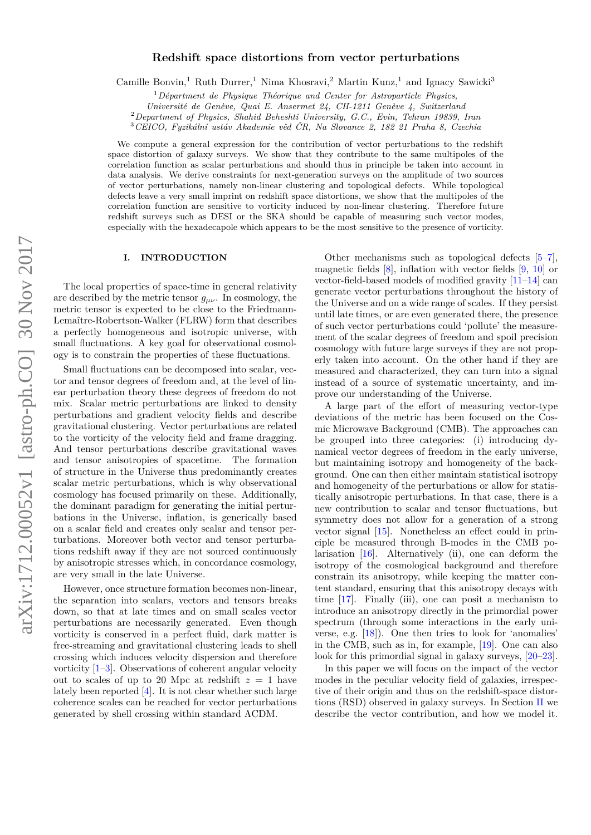# arXiv:1712.00052v1 [astro-ph.CO] 30 Nov 2017 arXiv:1712.00052v1 [astro-ph.CO] 30 Nov 2017

# **Redshift space distortions from vector perturbations**

Camille Bonvin,<sup>1</sup> Ruth Durrer,<sup>1</sup> Nima Khosravi,<sup>2</sup> Martin Kunz,<sup>1</sup> and Ignacy Sawicki<sup>3</sup>

<sup>1</sup>*Départment de Physique Théorique and Center for Astroparticle Physics,*

*Université de Genève, Quai E. Ansermet 24, CH-1211 Genève 4, Switzerland*

<sup>2</sup>*Department of Physics, Shahid Beheshti University, G.C., Evin, Tehran 19839, Iran*

<sup>3</sup>*CEICO, Fyzikální ustáv Akademie věd ČR, Na Slovance 2, 182 21 Praha 8, Czechia*

We compute a general expression for the contribution of vector perturbations to the redshift space distortion of galaxy surveys. We show that they contribute to the same multipoles of the correlation function as scalar perturbations and should thus in principle be taken into account in data analysis. We derive constraints for next-generation surveys on the amplitude of two sources of vector perturbations, namely non-linear clustering and topological defects. While topological defects leave a very small imprint on redshift space distortions, we show that the multipoles of the correlation function are sensitive to vorticity induced by non-linear clustering. Therefore future redshift surveys such as DESI or the SKA should be capable of measuring such vector modes, especially with the hexadecapole which appears to be the most sensitive to the presence of vorticity.

# **I. INTRODUCTION**

The local properties of space-time in general relativity are described by the metric tensor  $g_{\mu\nu}$ . In cosmology, the metric tensor is expected to be close to the Friedmann-Lemaître-Robertson-Walker (FLRW) form that describes a perfectly homogeneous and isotropic universe, with small fluctuations. A key goal for observational cosmology is to constrain the properties of these fluctuations.

Small fluctuations can be decomposed into scalar, vector and tensor degrees of freedom and, at the level of linear perturbation theory these degrees of freedom do not mix. Scalar metric perturbations are linked to density perturbations and gradient velocity fields and describe gravitational clustering. Vector perturbations are related to the vorticity of the velocity field and frame dragging. And tensor perturbations describe gravitational waves and tensor anisotropies of spacetime. The formation of structure in the Universe thus predominantly creates scalar metric perturbations, which is why observational cosmology has focused primarily on these. Additionally, the dominant paradigm for generating the initial perturbations in the Universe, inflation, is generically based on a scalar field and creates only scalar and tensor perturbations. Moreover both vector and tensor perturbations redshift away if they are not sourced continuously by anisotropic stresses which, in concordance cosmology, are very small in the late Universe.

However, once structure formation becomes non-linear, the separation into scalars, vectors and tensors breaks down, so that at late times and on small scales vector perturbations are necessarily generated. Even though vorticity is conserved in a perfect fluid, dark matter is free-streaming and gravitational clustering leads to shell crossing which induces velocity dispersion and therefore vorticity [\[1–](#page-10-0)[3\]](#page-10-1). Observations of coherent angular velocity out to scales of up to 20 Mpc at redshift  $z = 1$  have lately been reported [\[4\]](#page-10-2). It is not clear whether such large coherence scales can be reached for vector perturbations generated by shell crossing within standard ΛCDM.

Other mechanisms such as topological defects [\[5–](#page-10-3)[7\]](#page-10-4), magnetic fields  $[8]$ , inflation with vector fields  $[9, 10]$  $[9, 10]$  $[9, 10]$  or vector-field-based models of modified gravity [\[11](#page-11-2)[–14\]](#page-11-3) can generate vector perturbations throughout the history of the Universe and on a wide range of scales. If they persist until late times, or are even generated there, the presence of such vector perturbations could 'pollute' the measurement of the scalar degrees of freedom and spoil precision cosmology with future large surveys if they are not properly taken into account. On the other hand if they are measured and characterized, they can turn into a signal instead of a source of systematic uncertainty, and improve our understanding of the Universe.

A large part of the effort of measuring vector-type deviations of the metric has been focused on the Cosmic Microwave Background (CMB). The approaches can be grouped into three categories: (i) introducing dynamical vector degrees of freedom in the early universe, but maintaining isotropy and homogeneity of the background. One can then either maintain statistical isotropy and homogeneity of the perturbations or allow for statistically anisotropic perturbations. In that case, there is a new contribution to scalar and tensor fluctuations, but symmetry does not allow for a generation of a strong vector signal [\[15\]](#page-11-4). Nonetheless an effect could in principle be measured through B-modes in the CMB polarisation [\[16\]](#page-11-5). Alternatively (ii), one can deform the isotropy of the cosmological background and therefore constrain its anisotropy, while keeping the matter content standard, ensuring that this anisotropy decays with time [\[17\]](#page-11-6). Finally (iii), one can posit a mechanism to introduce an anisotropy directly in the primordial power spectrum (through some interactions in the early universe, e.g. [\[18\]](#page-11-7)). One then tries to look for 'anomalies' in the CMB, such as in, for example, [\[19\]](#page-11-8). One can also look for this primordial signal in galaxy surveys, [\[20–](#page-11-9)[23\]](#page-11-10).

In this paper we will focus on the impact of the vector modes in the peculiar velocity field of galaxies, irrespective of their origin and thus on the redshift-space distortions (RSD) observed in galaxy surveys. In Section [II](#page-1-0) we describe the vector contribution, and how we model it.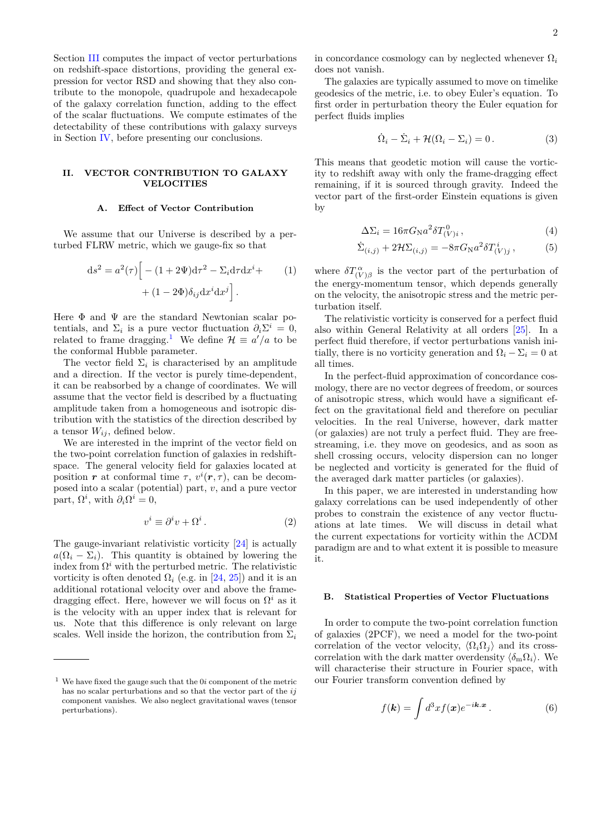Section [III](#page-4-0) computes the impact of vector perturbations on redshift-space distortions, providing the general expression for vector RSD and showing that they also contribute to the monopole, quadrupole and hexadecapole of the galaxy correlation function, adding to the effect of the scalar fluctuations. We compute estimates of the detectability of these contributions with galaxy surveys in Section [IV,](#page-5-0) before presenting our conclusions.

# <span id="page-1-0"></span>**II. VECTOR CONTRIBUTION TO GALAXY VELOCITIES**

# <span id="page-1-2"></span>**A. Effect of Vector Contribution**

We assume that our Universe is described by a perturbed FLRW metric, which we gauge-fix so that

$$
ds^{2} = a^{2}(\tau) \Big[ - (1 + 2\Psi) d\tau^{2} - \Sigma_{i} d\tau dx^{i} +
$$

$$
+ (1 - 2\Phi) \delta_{ij} dx^{i} dx^{j} \Big].
$$
 (1)

Here  $\Phi$  and  $\Psi$  are the standard Newtonian scalar potentials, and  $\Sigma_i$  is a pure vector fluctuation  $\partial_i \Sigma^i = 0$ , related to frame dragging.<sup>[1](#page-1-1)</sup> We define  $\mathcal{H} \equiv a'/a$  to be the conformal Hubble parameter.

The vector field  $\Sigma_i$  is characterised by an amplitude and a direction. If the vector is purely time-dependent, it can be reabsorbed by a change of coordinates. We will assume that the vector field is described by a fluctuating amplitude taken from a homogeneous and isotropic distribution with the statistics of the direction described by a tensor  $W_{ij}$ , defined below.

We are interested in the imprint of the vector field on the two-point correlation function of galaxies in redshiftspace. The general velocity field for galaxies located at position *r* at conformal time  $\tau$ ,  $v^{i}(\mathbf{r}, \tau)$ , can be decomposed into a scalar (potential) part, *v*, and a pure vector part,  $\Omega^i$ , with  $\partial_i \Omega^i = 0$ ,

<span id="page-1-3"></span>
$$
v^i \equiv \partial^i v + \Omega^i. \tag{2}
$$

The gauge-invariant relativistic vorticity [\[24\]](#page-11-11) is actually  $a(\Omega_i - \Sigma_i)$ . This quantity is obtained by lowering the index from  $\Omega^i$  with the perturbed metric. The relativistic vorticity is often denoted  $\Omega_i$  (e.g. in [\[24,](#page-11-11) [25\]](#page-11-12)) and it is an additional rotational velocity over and above the framedragging effect. Here, however we will focus on  $\Omega^i$  as it is the velocity with an upper index that is relevant for us. Note that this difference is only relevant on large scales. Well inside the horizon, the contribution from  $\Sigma_i$ 

in concordance cosmology can by neglected whenever  $\Omega_i$ does not vanish.

The galaxies are typically assumed to move on timelike geodesics of the metric, i.e. to obey Euler's equation. To first order in perturbation theory the Euler equation for perfect fluids implies

<span id="page-1-4"></span>
$$
\dot{\Omega}_i - \dot{\Sigma}_i + \mathcal{H}(\Omega_i - \Sigma_i) = 0.
$$
 (3)

This means that geodetic motion will cause the vorticity to redshift away with only the frame-dragging effect remaining, if it is sourced through gravity. Indeed the vector part of the first-order Einstein equations is given by

$$
\Delta \Sigma_i = 16\pi G_{\rm N} a^2 \delta T^{\,0}_{(V)i} \,, \tag{4}
$$

$$
\dot{\Sigma}_{(i,j)} + 2\mathcal{H}\Sigma_{(i,j)} = -8\pi G_{\mathcal{N}}a^2 \delta T^i_{(V)j} ,\qquad (5)
$$

where  $\delta T^{\alpha}_{(V)\beta}$  is the vector part of the perturbation of the energy-momentum tensor, which depends generally on the velocity, the anisotropic stress and the metric perturbation itself.

The relativistic vorticity is conserved for a perfect fluid also within General Relativity at all orders [\[25\]](#page-11-12). In a perfect fluid therefore, if vector perturbations vanish initially, there is no vorticity generation and  $\Omega_i - \Sigma_i = 0$  at all times.

In the perfect-fluid approximation of concordance cosmology, there are no vector degrees of freedom, or sources of anisotropic stress, which would have a significant effect on the gravitational field and therefore on peculiar velocities. In the real Universe, however, dark matter (or galaxies) are not truly a perfect fluid. They are freestreaming, i.e. they move on geodesics, and as soon as shell crossing occurs, velocity dispersion can no longer be neglected and vorticity is generated for the fluid of the averaged dark matter particles (or galaxies).

In this paper, we are interested in understanding how galaxy correlations can be used independently of other probes to constrain the existence of any vector fluctuations at late times. We will discuss in detail what the current expectations for vorticity within the ΛCDM paradigm are and to what extent it is possible to measure it.

# **B. Statistical Properties of Vector Fluctuations**

In order to compute the two-point correlation function of galaxies (2PCF), we need a model for the two-point correlation of the vector velocity,  $\langle \Omega_i \Omega_j \rangle$  and its crosscorrelation with the dark matter overdensity  $\langle \delta_m \Omega_i \rangle$ . We will characterise their structure in Fourier space, with our Fourier transform convention defined by

$$
f(\mathbf{k}) = \int d^3x f(\mathbf{x}) e^{-i\mathbf{k} \cdot \mathbf{x}}.
$$
 (6)

<span id="page-1-1"></span><sup>&</sup>lt;sup>1</sup> We have fixed the gauge such that the  $0i$  component of the metric has no scalar perturbations and so that the vector part of the *ij* component vanishes. We also neglect gravitational waves (tensor perturbations).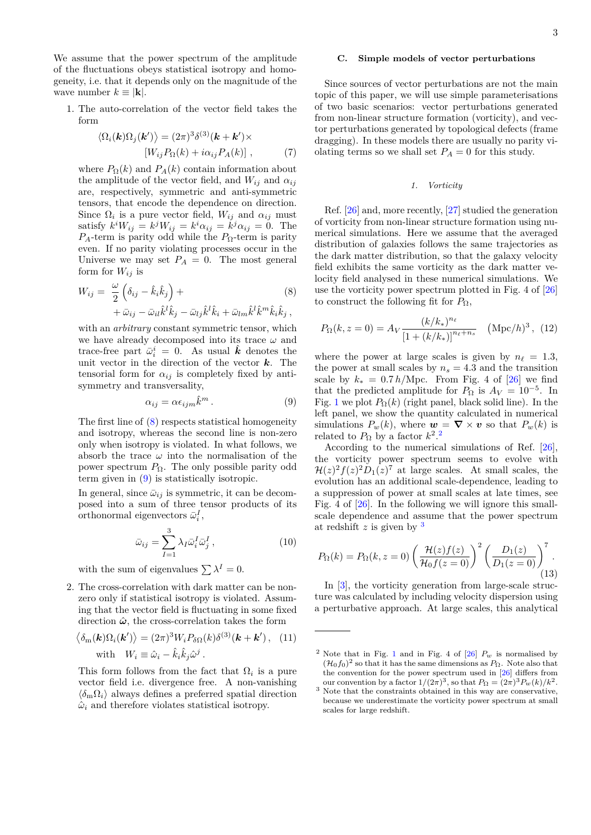We assume that the power spectrum of the amplitude of the fluctuations obeys statistical isotropy and homogeneity, i.e. that it depends only on the magnitude of the wave number  $k \equiv |\mathbf{k}|$ .

1. The auto-correlation of the vector field takes the form

$$
\langle \Omega_i(\mathbf{k})\Omega_j(\mathbf{k'}) \rangle = (2\pi)^3 \delta^{(3)}(\mathbf{k} + \mathbf{k'}) \times
$$
  
[W<sub>ij</sub>P<sub>Ω</sub>(k) + i\alpha\_{ij}P<sub>A</sub>(k)], (7)

where  $P_{\Omega}(k)$  and  $P_{A}(k)$  contain information about the amplitude of the vector field, and  $W_{ij}$  and  $\alpha_{ij}$ are, respectively, symmetric and anti-symmetric tensors, that encode the dependence on direction. Since  $\Omega_i$  is a pure vector field,  $W_{ij}$  and  $\alpha_{ij}$  must satisfy  $k^i W_{ij} = k^j W_{ij} = k^i \alpha_{ij} = k^j \alpha_{ij} = 0$ . The  $P_A$ -term is parity odd while the  $P_\Omega$ -term is parity even. If no parity violating processes occur in the Universe we may set  $P_A = 0$ . The most general form for  $W_{ij}$  is

$$
W_{ij} = \frac{\omega}{2} \left( \delta_{ij} - \hat{k}_i \hat{k}_j \right) +
$$
  
 
$$
+ \bar{\omega}_{ij} - \bar{\omega}_{il} \hat{k}^l \hat{k}_j - \bar{\omega}_{lj} \hat{k}^l \hat{k}_i + \bar{\omega}_{lm} \hat{k}^l \hat{k}^m \hat{k}_i \hat{k}_j,
$$
 (8)

with an *arbitrary* constant symmetric tensor, which we have already decomposed into its trace *ω* and trace-free part  $\bar{\omega}_i^i = 0$ . As usual  $\hat{k}$  denotes the unit vector in the direction of the vector *k*. The tensorial form for  $\alpha_{ij}$  is completely fixed by antisymmetry and transversality,

<span id="page-2-1"></span>
$$
\alpha_{ij} = \alpha \epsilon_{ijm} \hat{k}^m \,. \tag{9}
$$

The first line of [\(8\)](#page-2-0) respects statistical homogeneity and isotropy, whereas the second line is non-zero only when isotropy is violated. In what follows, we absorb the trace  $\omega$  into the normalisation of the power spectrum *P*Ω. The only possible parity odd term given in  $(9)$  is statistically isotropic.

In general, since  $\bar{\omega}_{ij}$  is symmetric, it can be decomposed into a sum of three tensor products of its orthonormal eigenvectors  $\bar{\omega}_i^I$ ,

$$
\bar{\omega}_{ij} = \sum_{I=1}^{3} \lambda_I \bar{\omega}_i^I \bar{\omega}_j^I , \qquad (10)
$$

with the sum of eigenvalues  $\sum \lambda^I = 0$ .

2. The cross-correlation with dark matter can be nonzero only if statistical isotropy is violated. Assuming that the vector field is fluctuating in some fixed direction  $\hat{\omega}$ , the cross-correlation takes the form

$$
\langle \delta_{\mathbf{m}}(\mathbf{k}) \Omega_i(\mathbf{k'}) \rangle = (2\pi)^3 W_i P_{\delta\Omega}(k) \delta^{(3)}(\mathbf{k} + \mathbf{k'}) , \quad (11)
$$
  
with  $W_i \equiv \hat{\omega}_i - \hat{k}_i \hat{k}_j \hat{\omega}^j .$ 

This form follows from the fact that  $\Omega_i$  is a pure vector field i.e. divergence free. A non-vanishing  $\langle \delta_{\rm m} \Omega_i \rangle$  always defines a preferred spatial direction  $\hat{\omega}_i$  and therefore violates statistical isotropy.

# <span id="page-2-6"></span>**C. Simple models of vector perturbations**

Since sources of vector perturbations are not the main topic of this paper, we will use simple parameterisations of two basic scenarios: vector perturbations generated from non-linear structure formation (vorticity), and vector perturbations generated by topological defects (frame dragging). In these models there are usually no parity violating terms so we shall set  $P_A = 0$  for this study.

### *1. Vorticity*

Ref. [\[26\]](#page-11-13) and, more recently, [\[27\]](#page-11-14) studied the generation of vorticity from non-linear structure formation using numerical simulations. Here we assume that the averaged distribution of galaxies follows the same trajectories as the dark matter distribution, so that the galaxy velocity field exhibits the same vorticity as the dark matter velocity field analysed in these numerical simulations. We use the vorticity power spectrum plotted in Fig. 4 of [\[26\]](#page-11-13) to construct the following fit for *P*Ω,

<span id="page-2-4"></span><span id="page-2-0"></span>
$$
P_{\Omega}(k, z = 0) = A_V \frac{(k/k_*)^{n_{\ell}}}{\left[1 + (k/k_*)\right]^{n_{\ell} + n_s}} \quad (\text{Mpc}/h)^3, (12)
$$

where the power at large scales is given by  $n_\ell = 1.3$ , the power at small scales by  $n_s = 4.3$  and the transition scale by  $k_* = 0.7 h/Mpc$ . From Fig. 4 of [\[26\]](#page-11-13) we find that the predicted amplitude for  $P_{\Omega}$  is  $A_V = 10^{-5}$ . In Fig. [1](#page-3-0) we plot  $P_{\Omega}(k)$  (right panel, black solid line). In the left panel, we show the quantity calculated in numerical simulations  $P_w(k)$ , where  $w = \nabla \times v$  so that  $P_w(k)$  is related to  $P_{\Omega}$  by a factor  $k^2$  $k^2$ <sup>2</sup>

According to the numerical simulations of Ref. [\[26\]](#page-11-13), the vorticity power spectrum seems to evolve with  $\mathcal{H}(z)^2 f(z)^2 D_1(z)^7$  at large scales. At small scales, the evolution has an additional scale-dependence, leading to a suppression of power at small scales at late times, see Fig. 4 of [\[26\]](#page-11-13). In the following we will ignore this smallscale dependence and assume that the power spectrum at redshift *z* is given by [3](#page-2-3)

<span id="page-2-5"></span>
$$
P_{\Omega}(k) = P_{\Omega}(k, z = 0) \left( \frac{\mathcal{H}(z)f(z)}{\mathcal{H}_0 f(z = 0)} \right)^2 \left( \frac{D_1(z)}{D_1(z = 0)} \right)^7.
$$
\n(13)

In [\[3\]](#page-10-1), the vorticity generation from large-scale structure was calculated by including velocity dispersion using a perturbative approach. At large scales, this analytical

<span id="page-2-2"></span><sup>&</sup>lt;sup>2</sup> Note that in Fig. [1](#page-3-0) and in Fig. 4 of  $[26]$   $P_w$  is normalised by  $(\mathcal{H}_0 f_0)^2$  so that it has the same dimensions as  $P_{\Omega}$ . Note also that the convention for the power spectrum used in [\[26\]](#page-11-13) differs from our convention by a factor  $1/(2\pi)^3$ , so that  $P_{\Omega} = (2\pi)^3 P_w(k)/k^2$ .

<span id="page-2-3"></span> $^3$  Note that the constraints obtained in this way are conservative, because we underestimate the vorticity power spectrum at small scales for large redshift.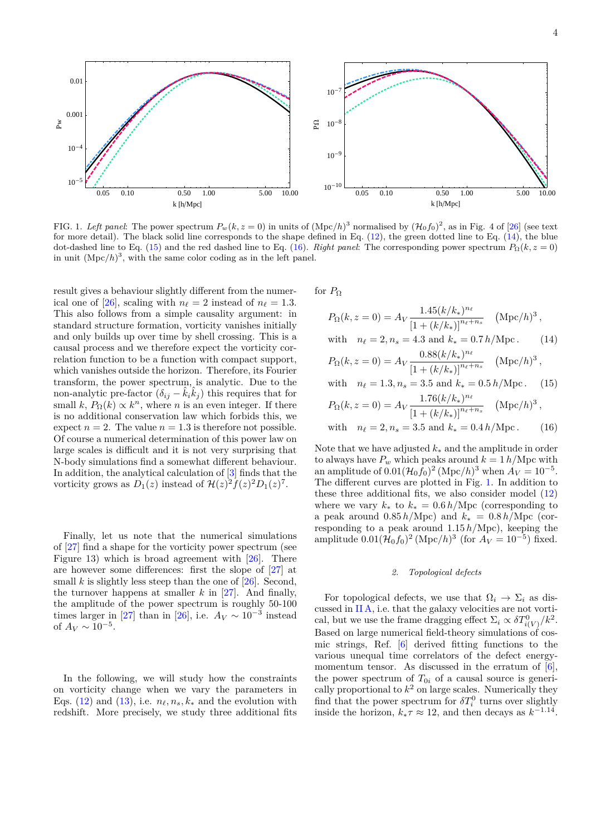

<span id="page-3-0"></span>FIG. 1. Left panel: The power spectrum  $P_w(k, z = 0)$  in units of  $(Mpc/h)^3$  normalised by  $(\mathcal{H}_0 f_0)^2$ , as in Fig. 4 of [\[26\]](#page-11-13) (see text for more detail). The black solid line corresponds to the shape defined in Eq. [\(12\)](#page-2-4), the green dotted line to Eq. [\(14\)](#page-3-1), the blue dot-dashed line to Eq. [\(15\)](#page-3-2) and the red dashed line to Eq. [\(16\)](#page-3-3). *Right panel*: The corresponding power spectrum  $P_{\Omega}(k, z = 0)$ in unit  $(Mpc/h)^3$ , with the same color coding as in the left panel.

result gives a behaviour slightly different from the numer-ical one of [\[26\]](#page-11-13), scaling with  $n_\ell = 2$  instead of  $n_\ell = 1.3$ . This also follows from a simple causality argument: in standard structure formation, vorticity vanishes initially and only builds up over time by shell crossing. This is a causal process and we therefore expect the vorticity correlation function to be a function with compact support, which vanishes outside the horizon. Therefore, its Fourier transform, the power spectrum, is analytic. Due to the non-analytic pre-factor  $(\delta_{ij} - \hat{k}_i \hat{k}_j)$  this requires that for small  $k$ ,  $P_{\Omega}(k) \propto k^{n}$ , where *n* is an even integer. If there is no additional conservation law which forbids this, we expect  $n = 2$ . The value  $n = 1.3$  is therefore not possible. Of course a numerical determination of this power law on large scales is difficult and it is not very surprising that N-body simulations find a somewhat different behaviour. In addition, the analytical calculation of [\[3\]](#page-10-1) finds that the vorticity grows as  $D_1(z)$  instead of  $\mathcal{H}(z)^2 f(z)^2 D_1(z)^7$ .

Finally, let us note that the numerical simulations of [\[27\]](#page-11-14) find a shape for the vorticity power spectrum (see Figure 13) which is broad agreement with [\[26\]](#page-11-13). There are however some differences: first the slope of [\[27\]](#page-11-14) at small  $k$  is slightly less steep than the one of  $[26]$ . Second, the turnover happens at smaller *k* in [\[27\]](#page-11-14). And finally, the amplitude of the power spectrum is roughly 50-100 times larger in [\[27\]](#page-11-14) than in [\[26\]](#page-11-13), i.e.  $A_V \sim 10^{-3}$  instead of  $A_V \sim 10^{-5}$ .

In the following, we will study how the constraints on vorticity change when we vary the parameters in Eqs. [\(12\)](#page-2-4) and [\(13\)](#page-2-5), i.e.  $n_{\ell}, n_s, k_*$  and the evolution with redshift. More precisely, we study three additional fits for  $P_{\Omega}$ 

$$
P_{\Omega}(k, z = 0) = A_V \frac{1.45(k/k_*)^{n_{\ell}}}{\left[1 + (k/k_*)\right]^{n_{\ell} + n_s}} \quad (\text{Mpc}/h)^3,
$$
  
with  $n_{\ell} = 2, n_s = 4.3$  and  $k_* = 0.7 h/\text{Mpc}$ . (14)

<span id="page-3-2"></span><span id="page-3-1"></span>
$$
P_{\Omega}(k, z = 0) = A_V \frac{0.88(k/k_*)^{n_\ell}}{[1 + (k/k_*)]^{n_\ell + n_s}} \quad (\text{Mpc}/h)^3,
$$

with 
$$
n_{\ell} = 1.3, n_s = 3.5
$$
 and  $k_* = 0.5 h/\text{Mpc}$ . (15)  
 $P_0(k_*; n_0) = A_{xx} = \frac{1.76(k/k_*)^{n_{\ell}}}{(Mpc/h)^3}$ 

<span id="page-3-3"></span>
$$
P_{\Omega}(k, z = 0) = A_V \frac{1.16(n/n*)}{[1 + (k/k_*)]^{n_{\ell} + n_s}} \quad (\text{Mpc}/h)^3,
$$
  
with  $n_{\ell} = 2, n_s = 3.5$  and  $k_* = 0.4 h/\text{Mpc}$ . (16)

Note that we have adjusted *k*<sup>∗</sup> and the amplitude in order to always have  $P_w$  which peaks around  $k = 1 h/Mpc$  with an amplitude of  $0.01(\mathcal{H}_0 f_0)^2 (\text{Mpc}/h)^3$  when  $A_V = 10^{-5}$ . The different curves are plotted in Fig. [1.](#page-3-0) In addition to these three additional fits, we also consider model [\(12\)](#page-2-4) where we vary  $k_*$  to  $k_* = 0.6 h/Mpc$  (corresponding to a peak around  $0.85 h/Mpc$ ) and  $k_* = 0.8 h/Mpc$  (corresponding to a peak around 1.15 *h/*Mpc), keeping the amplitude  $0.01(\mathcal{H}_0 f_0)^2$  (Mpc/h)<sup>3</sup> (for  $A_V = 10^{-5}$ ) fixed.

### *2. Topological defects*

For topological defects, we use that  $\Omega_i \to \Sigma_i$  as discussed in [II A,](#page-1-2) i.e. that the galaxy velocities are not vortical, but we use the frame dragging effect  $\Sigma_i \propto \delta T^0_{i(V)}/k^2$ . Based on large numerical field-theory simulations of cosmic strings, Ref. [\[6\]](#page-10-6) derived fitting functions to the various unequal time correlators of the defect energy-momentum tensor. As discussed in the erratum of [\[6\]](#page-10-6), the power spectrum of  $T_{0i}$  of a causal source is generically proportional to  $k^2$  on large scales. Numerically they find that the power spectrum for  $\delta T_i^0$  turns over slightly inside the horizon,  $k_*\tau \approx 12$ , and then decays as  $k^{-1.14}$ .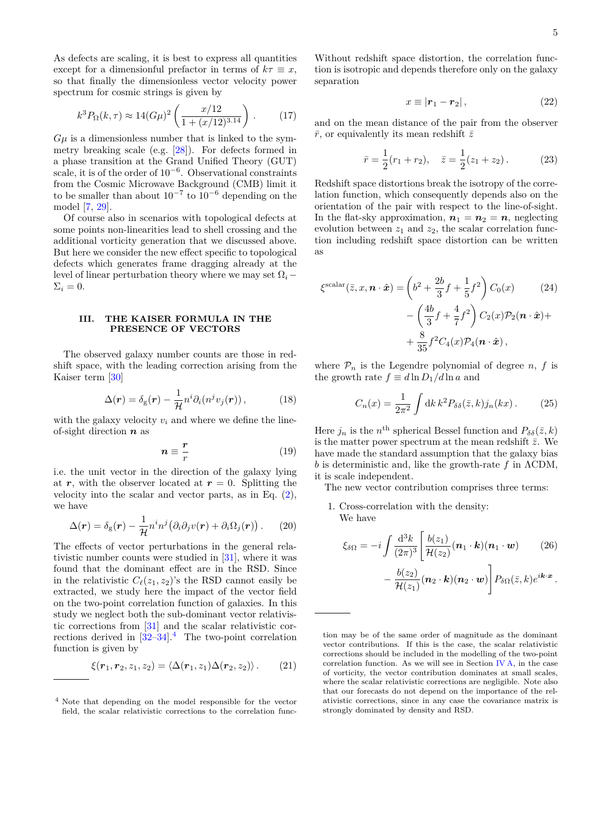As defects are scaling, it is best to express all quantities except for a dimensionful prefactor in terms of  $k\tau \equiv x$ , so that finally the dimensionless vector velocity power spectrum for cosmic strings is given by

<span id="page-4-3"></span>
$$
k^3 P_{\Omega}(k,\tau) \approx 14(G\mu)^2 \left(\frac{x/12}{1 + (x/12)^{3.14}}\right). \tag{17}
$$

 $G\mu$  is a dimensionless number that is linked to the symmetry breaking scale (e.g. [\[28\]](#page-11-15)). For defects formed in a phase transition at the Grand Unified Theory (GUT) scale, it is of the order of 10<sup>-6</sup>. Observational constraints from the Cosmic Microwave Background (CMB) limit it to be smaller than about  $10^{-7}$  to  $10^{-6}$  depending on the model [\[7,](#page-10-4) [29\]](#page-11-16).

Of course also in scenarios with topological defects at some points non-linearities lead to shell crossing and the additional vorticity generation that we discussed above. But here we consider the new effect specific to topological defects which generates frame dragging already at the level of linear perturbation theory where we may set  $\Omega_i$  –  $\Sigma_i = 0$ .

# <span id="page-4-0"></span>**III. THE KAISER FORMULA IN THE PRESENCE OF VECTORS**

The observed galaxy number counts are those in redshift space, with the leading correction arising from the Kaiser term [\[30\]](#page-11-17)

$$
\Delta(\mathbf{r}) = \delta_{\rm g}(\mathbf{r}) - \frac{1}{\mathcal{H}} n^i \partial_i (n^j v_j(\mathbf{r})), \tag{18}
$$

with the galaxy velocity  $v_i$  and where we define the lineof-sight direction *n* as

$$
n \equiv \frac{r}{r} \tag{19}
$$

i.e. the unit vector in the direction of the galaxy lying at  $r$ , with the observer located at  $r = 0$ . Splitting the velocity into the scalar and vector parts, as in Eq. [\(2\)](#page-1-3), we have

$$
\Delta(\mathbf{r}) = \delta_{\rm g}(\mathbf{r}) - \frac{1}{\mathcal{H}} n^i n^j \big( \partial_i \partial_j v(\mathbf{r}) + \partial_i \Omega_j(\mathbf{r}) \big).
$$
 (20)

The effects of vector perturbations in the general relativistic number counts were studied in [\[31\]](#page-11-18), where it was found that the dominant effect are in the RSD. Since in the relativistic  $C_{\ell}(z_1, z_2)$ 's the RSD cannot easily be extracted, we study here the impact of the vector field on the two-point correlation function of galaxies. In this study we neglect both the sub-dominant vector relativistic corrections from [\[31\]](#page-11-18) and the scalar relativistic corrections derived in  $\left[32-34\right]$  $\left[32-34\right]$  $\left[32-34\right]$  $\left[32-34\right]$  $\left[32-34\right]$ .<sup>4</sup> The two-point correlation function is given by

$$
\xi(\boldsymbol{r}_1,\boldsymbol{r}_2,z_1,z_2)=\langle \Delta(\boldsymbol{r}_1,z_1)\Delta(\boldsymbol{r}_2,z_2)\rangle. \qquad (21)
$$

Without redshift space distortion, the correlation function is isotropic and depends therefore only on the galaxy separation

$$
x \equiv |\mathbf{r}_1 - \mathbf{r}_2| \,, \tag{22}
$$

and on the mean distance of the pair from the observer  $\bar{r}$ , or equivalently its mean redshift  $\bar{z}$ 

<span id="page-4-2"></span>
$$
\bar{r} = \frac{1}{2}(r_1 + r_2), \quad \bar{z} = \frac{1}{2}(z_1 + z_2).
$$
 (23)

Redshift space distortions break the isotropy of the correlation function, which consequently depends also on the orientation of the pair with respect to the line-of-sight. In the flat-sky approximation,  $n_1 = n_2 = n$ , neglecting evolution between  $z_1$  and  $z_2$ , the scalar correlation function including redshift space distortion can be written as

$$
\xi^{\text{scalar}}(\bar{z}, x, \boldsymbol{n} \cdot \hat{\boldsymbol{x}}) = \left(b^2 + \frac{2b}{3}f + \frac{1}{5}f^2\right)C_0(x) \qquad (24)
$$

$$
-\left(\frac{4b}{3}f + \frac{4}{7}f^2\right)C_2(x)\mathcal{P}_2(\boldsymbol{n}\cdot\hat{\boldsymbol{x}}) + \frac{8}{35}f^2C_4(x)\mathcal{P}_4(\boldsymbol{n}\cdot\hat{\boldsymbol{x}}),
$$

where  $P_n$  is the Legendre polynomial of degree *n*, *f* is the growth rate  $f \equiv d \ln D_1 / d \ln a$  and

$$
C_n(x) = \frac{1}{2\pi^2} \int \mathrm{d}k \, k^2 P_{\delta\delta}(\bar{z}, k) j_n(kx) \,. \tag{25}
$$

Here  $j_n$  is the  $n^{\text{th}}$  spherical Bessel function and  $P_{\delta\delta}(\bar{z}, k)$ is the matter power spectrum at the mean redshift  $\bar{z}$ . We have made the standard assumption that the galaxy bias *b* is deterministic and, like the growth-rate *f* in ΛCDM, it is scale independent.

The new vector contribution comprises three terms:

1. Cross-correlation with the density: We have

$$
\xi_{\delta\Omega} = -i \int \frac{\mathrm{d}^3 k}{(2\pi)^3} \left[ \frac{b(z_1)}{\mathcal{H}(z_2)} (\boldsymbol{n}_1 \cdot \boldsymbol{k}) (\boldsymbol{n}_1 \cdot \boldsymbol{w}) \right] - \frac{b(z_2)}{\mathcal{H}(z_1)} (\boldsymbol{n}_2 \cdot \boldsymbol{k}) (\boldsymbol{n}_2 \cdot \boldsymbol{w}) \right] P_{\delta\Omega}(\bar{z}, k) e^{i\boldsymbol{k} \cdot \boldsymbol{x}}.
$$

<span id="page-4-1"></span> $4$  Note that depending on the model responsible for the vector field, the scalar relativistic corrections to the correlation func-

tion may be of the same order of magnitude as the dominant vector contributions. If this is the case, the scalar relativistic corrections should be included in the modelling of the two-point correlation function. As we will see in Section *, in the case* of vorticity, the vector contribution dominates at small scales, where the scalar relativistic corrections are negligible. Note also that our forecasts do not depend on the importance of the relativistic corrections, since in any case the covariance matrix is strongly dominated by density and RSD.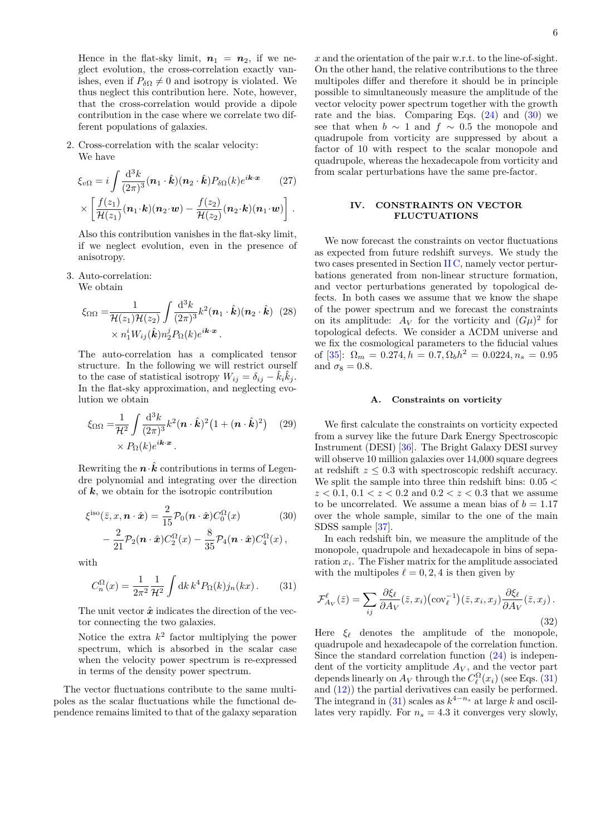Hence in the flat-sky limit,  $n_1 = n_2$ , if we neglect evolution, the cross-correlation exactly vanishes, even if  $P_{\delta\Omega} \neq 0$  and isotropy is violated. We thus neglect this contribution here. Note, however, that the cross-correlation would provide a dipole contribution in the case where we correlate two different populations of galaxies.

2. Cross-correlation with the scalar velocity: We have

$$
\xi_{v\Omega} = i \int \frac{\mathrm{d}^3 k}{(2\pi)^3} (\boldsymbol{n}_1 \cdot \hat{\boldsymbol{k}}) (\boldsymbol{n}_2 \cdot \hat{\boldsymbol{k}}) P_{\delta\Omega}(k) e^{i\boldsymbol{k} \cdot \boldsymbol{x}} \qquad (27)
$$

$$
\times \left[ \frac{f(z_1)}{\mathcal{H}(z_1)} (\boldsymbol{n}_1 \cdot \boldsymbol{k}) (\boldsymbol{n}_2 \cdot \boldsymbol{w}) - \frac{f(z_2)}{\mathcal{H}(z_2)} (\boldsymbol{n}_2 \cdot \boldsymbol{k}) (\boldsymbol{n}_1 \cdot \boldsymbol{w}) \right].
$$

Also this contribution vanishes in the flat-sky limit, if we neglect evolution, even in the presence of anisotropy.

3. Auto-correlation:

We obtain

$$
\xi_{\Omega\Omega} = \frac{1}{\mathcal{H}(z_1)\mathcal{H}(z_2)} \int \frac{\mathrm{d}^3 k}{(2\pi)^3} k^2 (\mathbf{n}_1 \cdot \hat{\mathbf{k}}) (\mathbf{n}_2 \cdot \hat{\mathbf{k}}) (28) \times n_1^i W_{ij}(\hat{\mathbf{k}}) n_2^j P_{\Omega}(k) e^{i\mathbf{k} \cdot \mathbf{x}}.
$$

The auto-correlation has a complicated tensor structure. In the following we will restrict ourself to the case of statistical isotropy  $W_{ij} = \delta_{ij} - \hat{k}_i \hat{k}_j$ . In the flat-sky approximation, and neglecting evolution we obtain

$$
\xi_{\Omega\Omega} = \frac{1}{\mathcal{H}^2} \int \frac{\mathrm{d}^3 k}{(2\pi)^3} k^2 (\boldsymbol{n} \cdot \hat{\boldsymbol{k}})^2 \left(1 + (\boldsymbol{n} \cdot \hat{\boldsymbol{k}})^2\right) \tag{29}
$$

$$
\times P_{\Omega}(k) e^{i\boldsymbol{k} \cdot \boldsymbol{x}}.
$$

Rewriting the  $\mathbf{n} \cdot \mathbf{k}$  contributions in terms of Legendre polynomial and integrating over the direction of *k*, we obtain for the isotropic contribution

$$
\xi^{\text{iso}}(\bar{z}, x, \boldsymbol{n} \cdot \hat{\boldsymbol{x}}) = \frac{2}{15} \mathcal{P}_0(\boldsymbol{n} \cdot \hat{\boldsymbol{x}}) C_0^{\Omega}(x) \tag{30}
$$

$$
-\frac{2}{21}\mathcal{P}_2(\boldsymbol{n}\cdot\hat{\boldsymbol{x}})C_2^{\Omega}(x)-\frac{8}{35}\mathcal{P}_4(\boldsymbol{n}\cdot\hat{\boldsymbol{x}})C_4^{\Omega}(x)\,,
$$

with

<span id="page-5-3"></span>
$$
C_n^{\Omega}(x) = \frac{1}{2\pi^2} \frac{1}{\mathcal{H}^2} \int \mathrm{d}k \, k^4 P_{\Omega}(k) j_n(kx) \,. \tag{31}
$$

The unit vector  $\hat{x}$  indicates the direction of the vector connecting the two galaxies.

Notice the extra  $k^2$  factor multiplying the power spectrum, which is absorbed in the scalar case when the velocity power spectrum is re-expressed in terms of the density power spectrum.

The vector fluctuations contribute to the same multipoles as the scalar fluctuations while the functional dependence remains limited to that of the galaxy separation *x* and the orientation of the pair w.r.t. to the line-of-sight. On the other hand, the relative contributions to the three multipoles differ and therefore it should be in principle possible to simultaneously measure the amplitude of the vector velocity power spectrum together with the growth rate and the bias. Comparing Eqs.  $(24)$  and  $(30)$  we see that when  $b \sim 1$  and  $f \sim 0.5$  the monopole and quadrupole from vorticity are suppressed by about a factor of 10 with respect to the scalar monopole and quadrupole, whereas the hexadecapole from vorticity and from scalar perturbations have the same pre-factor.

# <span id="page-5-0"></span>**IV. CONSTRAINTS ON VECTOR FLUCTUATIONS**

We now forecast the constraints on vector fluctuations as expected from future redshift surveys. We study the two cases presented in Section [II C,](#page-2-6) namely vector perturbations generated from non-linear structure formation, and vector perturbations generated by topological defects. In both cases we assume that we know the shape of the power spectrum and we forecast the constraints on its amplitude:  $A_V$  for the vorticity and  $(G\mu)^2$  for topological defects. We consider a ΛCDM universe and we fix the cosmological parameters to the fiducial values of  $[35]$ :  $\Omega_m = 0.274, h = 0.7, \Omega_b h^2 = 0.0224, n_s = 0.95$ and  $\sigma_8 = 0.8$ .

# <span id="page-5-1"></span>**A. Constraints on vorticity**

We first calculate the constraints on vorticity expected from a survey like the future Dark Energy Spectroscopic Instrument (DESI) [\[36\]](#page-11-22). The Bright Galaxy DESI survey will observe 10 million galaxies over 14,000 square degrees at redshift *z* ≤ 0*.*3 with spectroscopic redshift accuracy. We split the sample into three thin redshift bins: 0*.*05 *<*  $z < 0.1, 0.1 < z < 0.2$  and  $0.2 < z < 0.3$  that we assume to be uncorrelated. We assume a mean bias of  $b = 1.17$ over the whole sample, similar to the one of the main SDSS sample [\[37\]](#page-11-23).

<span id="page-5-2"></span>In each redshift bin, we measure the amplitude of the monopole, quadrupole and hexadecapole in bins of separation *x<sup>i</sup>* . The Fisher matrix for the amplitude associated with the multipoles  $\ell = 0, 2, 4$  is then given by

<span id="page-5-4"></span>
$$
\mathcal{F}_{A_V}^{\ell}(\bar{z}) = \sum_{ij} \frac{\partial \xi_{\ell}}{\partial A_V}(\bar{z}, x_i) \left( \text{cov}_{\ell}^{-1} \right) (\bar{z}, x_i, x_j) \frac{\partial \xi_{\ell}}{\partial A_V}(\bar{z}, x_j) .
$$
\n(32)

Here  $\xi_{\ell}$  denotes the amplitude of the monopole, quadrupole and hexadecapole of the correlation function. Since the standard correlation function  $(24)$  is independent of the vorticity amplitude  $A_V$ , and the vector part depends linearly on  $A_V$  through the  $C_{\ell}^{\Omega}(x_i)$  (see Eqs. [\(31\)](#page-5-3) and [\(12\)](#page-2-4)) the partial derivatives can easily be performed. The integrand in  $(31)$  scales as  $k^{4-n_s}$  at large *k* and oscillates very rapidly. For  $n_s = 4.3$  it converges very slowly,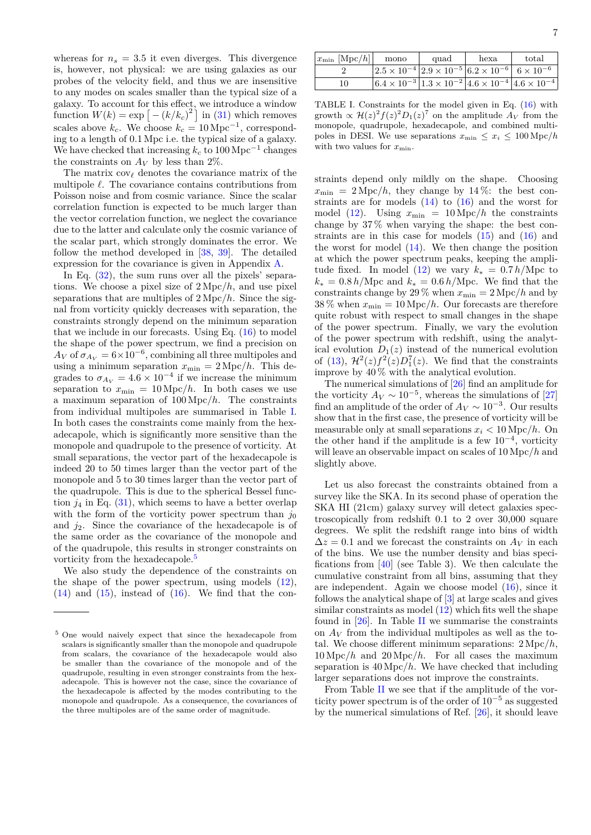whereas for  $n_s = 3.5$  it even diverges. This divergence is, however, not physical: we are using galaxies as our probes of the velocity field, and thus we are insensitive to any modes on scales smaller than the typical size of a galaxy. To account for this effect, we introduce a window function  $W(k) = \exp \left[-\left(k/k_c\right)^2\right]$  in [\(31\)](#page-5-3) which removes scales above  $k_c$ . We choose  $k_c = 10 \,\text{Mpc}^{-1}$ , corresponding to a length of 0*.*1 Mpc i.e. the typical size of a galaxy. We have checked that increasing  $k_c$  to  $100 \,\mathrm{Mpc}^{-1}$  changes the constraints on  $A_V$  by less than 2%.

The matrix  $cov_{\ell}$  denotes the covariance matrix of the multipole  $\ell$ . The covariance contains contributions from Poisson noise and from cosmic variance. Since the scalar correlation function is expected to be much larger than the vector correlation function, we neglect the covariance due to the latter and calculate only the cosmic variance of the scalar part, which strongly dominates the error. We follow the method developed in [\[38,](#page-11-24) [39\]](#page-11-25). The detailed expression for the covariance is given in Appendix [A.](#page-10-7)

In Eq.  $(32)$ , the sum runs over all the pixels' separations. We choose a pixel size of 2 Mpc*/h*, and use pixel separations that are multiples of 2 Mpc*/h*. Since the signal from vorticity quickly decreases with separation, the constraints strongly depend on the minimum separation that we include in our forecasts. Using Eq. [\(16\)](#page-3-3) to model the shape of the power spectrum, we find a precision on  $A_V$  of  $\sigma_{A_V} = 6 \times 10^{-6}$ , combining all three multipoles and using a minimum separation  $x_{\min} = 2 \text{ Mpc}/h$ . This degrades to  $\sigma_{A_V} = 4.6 \times 10^{-4}$  if we increase the minimum separation to  $x_{\min} = 10 \text{ Mpc}/h$ . In both cases we use a maximum separation of 100 Mpc*/h*. The constraints from individual multipoles are summarised in Table [I.](#page-6-0) In both cases the constraints come mainly from the hexadecapole, which is significantly more sensitive than the monopole and quadrupole to the presence of vorticity. At small separations, the vector part of the hexadecapole is indeed 20 to 50 times larger than the vector part of the monopole and 5 to 30 times larger than the vector part of the quadrupole. This is due to the spherical Bessel function  $j_4$  in Eq.  $(31)$ , which seems to have a better overlap with the form of the vorticity power spectrum than  $j_0$ and *j*2. Since the covariance of the hexadecapole is of the same order as the covariance of the monopole and of the quadrupole, this results in stronger constraints on vorticity from the hexadecapole.<sup>[5](#page-6-1)</sup>

We also study the dependence of the constraints on the shape of the power spectrum, using models [\(12\)](#page-2-4),  $(14)$  and  $(15)$ , instead of  $(16)$ . We find that the con-

| $x_{\min}$ [Mpc/h]] | mono                                                                                                      | quad | hexa | total                                                                                                |
|---------------------|-----------------------------------------------------------------------------------------------------------|------|------|------------------------------------------------------------------------------------------------------|
|                     | $\left  2.5 \times 10^{-4} \right  2.9 \times 10^{-5} \left  6.2 \times 10^{-6} \right  6 \times 10^{-6}$ |      |      |                                                                                                      |
|                     |                                                                                                           |      |      | $\left 6.4 \times 10^{-3}\right 1.3 \times 10^{-2}\left 4.6 \times 10^{-4}\right 4.6 \times 10^{-4}$ |

<span id="page-6-0"></span>TABLE I. Constraints for the model given in Eq. [\(16\)](#page-3-3) with growth  $\propto \mathcal{H}(z)^2 f(z)^2 D_1(z)^7$  on the amplitude  $A_V$  from the monopole, quadrupole, hexadecapole, and combined multipoles in DESI. We use separations  $x_{\min} \leq x_i \leq 100 \, \text{Mpc}/h$ with two values for  $x_{\min}$ .

straints depend only mildly on the shape. Choosing  $x_{\min} = 2 \text{ Mpc}/h$ , they change by 14%: the best constraints are for models  $(14)$  to  $(16)$  and the worst for model [\(12\)](#page-2-4). Using  $x_{\min} = 10 \text{ Mpc}/h$  the constraints change by  $37\%$  when varying the shape: the best constraints are in this case for models  $(15)$  and  $(16)$  and the worst for model [\(14\)](#page-3-1). We then change the position at which the power spectrum peaks, keeping the ampli-tude fixed. In model [\(12\)](#page-2-4) we vary  $k_* = 0.7 h/Mpc$  to  $k_* = 0.8 h/Mpc$  and  $k_* = 0.6 h/Mpc$ . We find that the constraints change by 29 % when  $x_{\min} = 2 \text{ Mpc}/h$  and by  $38\%$  when  $x_{\text{min}} = 10 \,\text{Mpc}/h$ . Our forecasts are therefore quite robust with respect to small changes in the shape of the power spectrum. Finally, we vary the evolution of the power spectrum with redshift, using the analytical evolution  $D_1(z)$  instead of the numerical evolution of [\(13\)](#page-2-5),  $\mathcal{H}^2(z)f^2(z)D_1^7(z)$ . We find that the constraints improve by 40 % with the analytical evolution.

The numerical simulations of [\[26\]](#page-11-13) find an amplitude for the vorticity  $A_V \sim 10^{-5}$ , whereas the simulations of [\[27\]](#page-11-14) find an amplitude of the order of  $A_V \sim 10^{-3}$ . Our results show that in the first case, the presence of vorticity will be measurable only at small separations  $x_i < 10$  Mpc/h. On the other hand if the amplitude is a few  $10^{-4}$ , vorticity will leave an observable impact on scales of 10 Mpc*/h* and slightly above.

Let us also forecast the constraints obtained from a survey like the SKA. In its second phase of operation the SKA HI (21cm) galaxy survey will detect galaxies spectroscopically from redshift 0.1 to 2 over 30,000 square degrees. We split the redshift range into bins of width  $\Delta z = 0.1$  and we forecast the constraints on  $A_V$  in each of the bins. We use the number density and bias specifications from [\[40\]](#page-11-26) (see Table 3). We then calculate the cumulative constraint from all bins, assuming that they are independent. Again we choose model [\(16\)](#page-3-3), since it follows the analytical shape of [\[3\]](#page-10-1) at large scales and gives similar constraints as model  $(12)$  which fits well the shape found in  $[26]$ . In Table [II](#page-7-0) we summarise the constraints on  $A_V$  from the individual multipoles as well as the total. We choose different minimum separations: 2 Mpc*/h*, 10 Mpc*/h* and 20 Mpc*/h*. For all cases the maximum separation is 40 Mpc*/h*. We have checked that including larger separations does not improve the constraints.

From Table [II](#page-7-0) we see that if the amplitude of the vorticity power spectrum is of the order of  $10^{-5}$  as suggested by the numerical simulations of Ref. [\[26\]](#page-11-13), it should leave

<span id="page-6-1"></span><sup>5</sup> One would naively expect that since the hexadecapole from scalars is significantly smaller than the monopole and quadrupole from scalars, the covariance of the hexadecapole would also be smaller than the covariance of the monopole and of the quadrupole, resulting in even stronger constraints from the hexadecapole. This is however not the case, since the covariance of the hexadecapole is affected by the modes contributing to the monopole and quadrupole. As a consequence, the covariances of the three multipoles are of the same order of magnitude.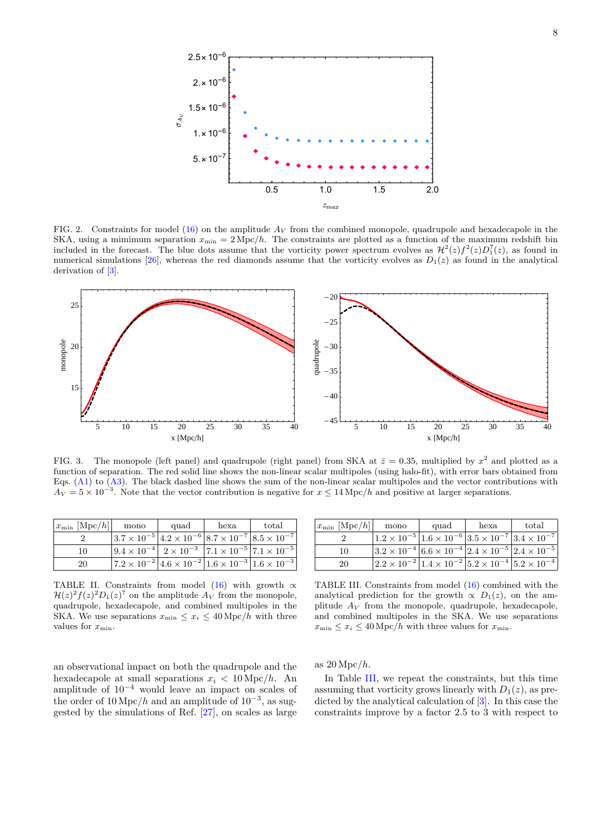

<span id="page-7-2"></span>FIG. 2. Constraints for model [\(16\)](#page-3-3) on the amplitude *A<sup>V</sup>* from the combined monopole, quadrupole and hexadecapole in the SKA, using a mimimum separation  $x_{\min} = 2 \text{ Mpc}/h$ . The constraints are plotted as a function of the maximum redshift bin included in the forecast. The blue dots assume that the vorticity power spectrum evolves as  $\mathcal{H}^2(z)f^2(z)D_1^7(z)$ , as found in numerical simulations  $[26]$ , whereas the red diamonds assume that the vorticity evolves as  $D_1(z)$  as found in the analytical derivation of [\[3\]](#page-10-1).



<span id="page-7-3"></span>FIG. 3. The monopole (left panel) and quadrupole (right panel) from SKA at  $\bar{z} = 0.35$ , multiplied by  $x^2$  and plotted as a function of separation. The red solid line shows the non-linear scalar multipoles (using halo-fit), with error bars obtained from Eqs. [\(A1\)](#page-10-8) to [\(A3\)](#page-10-9). The black dashed line shows the sum of the non-linear scalar multipoles and the vector contributions with  $A_V = 5 \times 10^{-3}$ . Note that the vector contribution is negative for  $x \le 14$  Mpc/*h* and positive at larger separations.

| $ x_{\min}$ [Mpc/h]] | mono                                                                                                        | quad | hexa | total |
|----------------------|-------------------------------------------------------------------------------------------------------------|------|------|-------|
|                      | $ 3.7 \times 10^{-5} $ $4.2 \times 10^{-6} 8.7 \times 10^{-7} 8.5 \times 10^{-7} $                          |      |      |       |
| 10                   | $\left 9.4 \times 10^{-4}\right $ $2 \times 10^{-3}$ $\left 7.1 \times 10^{-5}\right $ $7.1 \times 10^{-5}$ |      |      |       |
| 20                   | $ 7.2 \times 10^{-2}  4.6 \times 10^{-2}  1.6 \times 10^{-3}  1.6 \times 10^{-3}$                           |      |      |       |

| $x_{\min}$ [Mpc/h]] | mono                                                                                                 | quad | hexa | total |
|---------------------|------------------------------------------------------------------------------------------------------|------|------|-------|
|                     | $ 1.2 \times 10^{-5}  1.6 \times 10^{-6}  3.5 \times 10^{-7}  3.4 \times 10^{-7} $                   |      |      |       |
| 10                  | $ 3.2 \times 10^{-4}  6.6 \times 10^{-4}  2.4 \times 10^{-5}  2.4 \times 10^{-5}$                    |      |      |       |
| 20                  | $\left 2.2 \times 10^{-2}\right 1.4 \times 10^{-2}\left 5.2 \times 10^{-4}\right 5.2 \times 10^{-4}$ |      |      |       |

<span id="page-7-0"></span>TABLE II. Constraints from model [\(16\)](#page-3-3) with growth  $\propto$  $\mathcal{H}(z)^2 f(z)^2 D_1(z)^7$  on the amplitude  $A_V$  from the monopole, quadrupole, hexadecapole, and combined multipoles in the SKA. We use separations  $x_{\min} \leq x_i \leq 40 \,\text{Mpc}/h$  with three values for  $x_{\min}$ .

<span id="page-7-1"></span>TABLE III. Constraints from model [\(16\)](#page-3-3) combined with the analytical prediction for the growth  $\propto D_1(z)$ , on the amplitude  $A_V$  from the monopole, quadrupole, hexadecapole, and combined multipoles in the SKA. We use separations  $x_{\min} \leq x_i \leq 40 \,\text{Mpc}/h$  with three values for  $x_{\min}$ .

an observational impact on both the quadrupole and the hexadecapole at small separations  $x_i < 10$  Mpc/h. An amplitude of  $10^{-4}$  would leave an impact on scales of the order of  $10 \,\mathrm{Mpc}/h$  and an amplitude of  $10^{-3}$ , as suggested by the simulations of Ref. [\[27\]](#page-11-14), on scales as large as 20 Mpc*/h*.

In Table [III,](#page-7-1) we repeat the constraints, but this time assuming that vorticity grows linearly with  $D_1(z)$ , as predicted by the analytical calculation of [\[3\]](#page-10-1). In this case the constraints improve by a factor 2.5 to 3 with respect to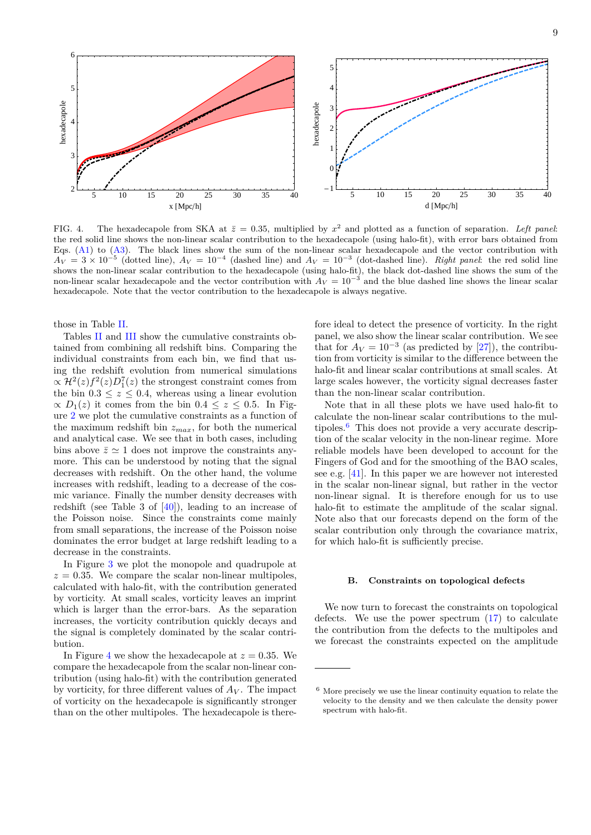

<span id="page-8-0"></span>FIG. 4. The hexadecapole from SKA at  $\bar{z} = 0.35$ , multiplied by  $x^2$  and plotted as a function of separation. Left panel: the red solid line shows the non-linear scalar contribution to the hexadecapole (using halo-fit), with error bars obtained from Eqs. [\(A1\)](#page-10-8) to [\(A3\)](#page-10-9). The black lines show the sum of the non-linear scalar hexadecapole and the vector contribution with  $A_V = 3 \times 10^{-5}$  (dotted line),  $A_V = 10^{-4}$  (dashed line) and  $A_V = 10^{-3}$  (dot-dashed line). *Right panel*: the red solid line shows the non-linear scalar contribution to the hexadecapole (using halo-fit), the black dot-dashed line shows the sum of the non-linear scalar hexadecapole and the vector contribution with  $A_V = 10^{-3}$  and the blue dashed line shows the linear scalar hexadecapole. Note that the vector contribution to the hexadecapole is always negative.

those in Table [II.](#page-7-0)

Tables [II](#page-7-0) and [III](#page-7-1) show the cumulative constraints obtained from combining all redshift bins. Comparing the individual constraints from each bin, we find that using the redshift evolution from numerical simulations  $\propto \mathcal{H}^2(z) f^2(z) D_1^7(z)$  the strongest constraint comes from the bin  $0.3 \leq z \leq 0.4$ , whereas using a linear evolution  $\propto$  *D*<sub>1</sub>(*z*) it comes from the bin 0*.*4 ≤ *z* ≤ 0*.*5. In Figure [2](#page-7-2) we plot the cumulative constraints as a function of the maximum redshift bin *zmax*, for both the numerical and analytical case. We see that in both cases, including bins above  $\bar{z} \simeq 1$  does not improve the constraints anymore. This can be understood by noting that the signal decreases with redshift. On the other hand, the volume increases with redshift, leading to a decrease of the cosmic variance. Finally the number density decreases with redshift (see Table 3 of [\[40\]](#page-11-26)), leading to an increase of the Poisson noise. Since the constraints come mainly from small separations, the increase of the Poisson noise dominates the error budget at large redshift leading to a decrease in the constraints.

In Figure [3](#page-7-3) we plot the monopole and quadrupole at  $z = 0.35$ . We compare the scalar non-linear multipoles, calculated with halo-fit, with the contribution generated by vorticity. At small scales, vorticity leaves an imprint which is larger than the error-bars. As the separation increases, the vorticity contribution quickly decays and the signal is completely dominated by the scalar contribution.

In Figure [4](#page-8-0) we show the hexadecapole at  $z = 0.35$ . We compare the hexadecapole from the scalar non-linear contribution (using halo-fit) with the contribution generated by vorticity, for three different values of  $A_V$ . The impact of vorticity on the hexadecapole is significantly stronger than on the other multipoles. The hexadecapole is therefore ideal to detect the presence of vorticity. In the right panel, we also show the linear scalar contribution. We see that for  $A_V = 10^{-3}$  (as predicted by [\[27\]](#page-11-14)), the contribution from vorticity is similar to the difference between the halo-fit and linear scalar contributions at small scales. At large scales however, the vorticity signal decreases faster than the non-linear scalar contribution.

Note that in all these plots we have used halo-fit to calculate the non-linear scalar contributions to the mul-tipoles.<sup>[6](#page-8-1)</sup> This does not provide a very accurate description of the scalar velocity in the non-linear regime. More reliable models have been developed to account for the Fingers of God and for the smoothing of the BAO scales, see e.g. [\[41\]](#page-11-27). In this paper we are however not interested in the scalar non-linear signal, but rather in the vector non-linear signal. It is therefore enough for us to use halo-fit to estimate the amplitude of the scalar signal. Note also that our forecasts depend on the form of the scalar contribution only through the covariance matrix, for which halo-fit is sufficiently precise.

# **B. Constraints on topological defects**

We now turn to forecast the constraints on topological defects. We use the power spectrum [\(17\)](#page-4-3) to calculate the contribution from the defects to the multipoles and we forecast the constraints expected on the amplitude

<span id="page-8-1"></span> $6$  More precisely we use the linear continuity equation to relate the velocity to the density and we then calculate the density power spectrum with halo-fit.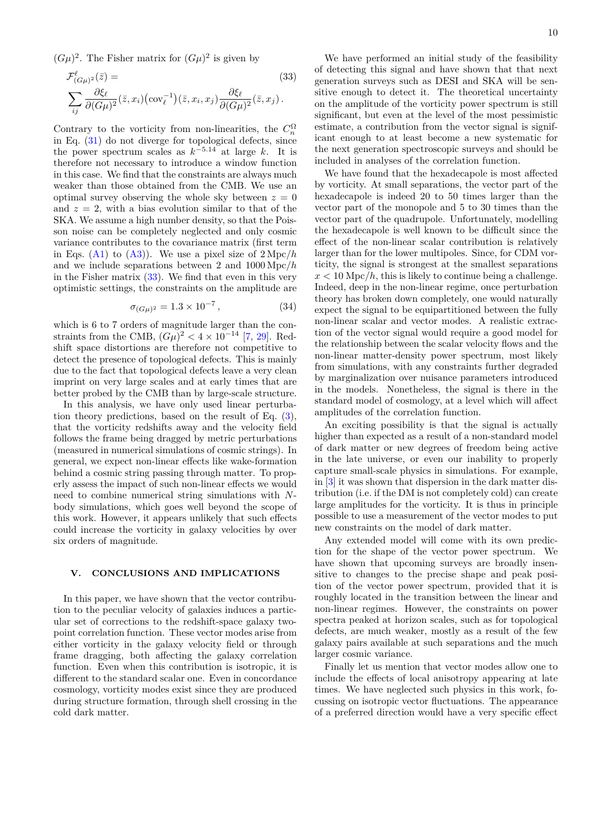$(G\mu)^2$ . The Fisher matrix for  $(G\mu)^2$  is given by

$$
\mathcal{F}^{\ell}_{(G\mu)^2}(\bar{z}) =
$$
\n
$$
\sum_{ij} \frac{\partial \xi_{\ell}}{\partial (G\mu)^2} (\bar{z}, x_i) (\text{cov}_{\ell}^{-1}) (\bar{z}, x_i, x_j) \frac{\partial \xi_{\ell}}{\partial (G\mu)^2} (\bar{z}, x_j).
$$
\n(33)

Contrary to the vorticity from non-linearities, the  $C_n^{\Omega}$ in Eq. [\(31\)](#page-5-3) do not diverge for topological defects, since the power spectrum scales as  $k^{-5.14}$  at large k. It is therefore not necessary to introduce a window function in this case. We find that the constraints are always much weaker than those obtained from the CMB. We use an optimal survey observing the whole sky between  $z = 0$ and  $z = 2$ , with a bias evolution similar to that of the SKA. We assume a high number density, so that the Poisson noise can be completely neglected and only cosmic variance contributes to the covariance matrix (first term in Eqs. [\(A1\)](#page-10-8) to [\(A3\)](#page-10-9)). We use a pixel size of 2 Mpc*/h* and we include separations between 2 and 1000 Mpc*/h* in the Fisher matrix  $(33)$ . We find that even in this very optimistic settings, the constraints on the amplitude are

$$
\sigma_{(G\mu)^2} = 1.3 \times 10^{-7},\tag{34}
$$

which is 6 to 7 orders of magnitude larger than the constraints from the CMB,  $(G\mu)^2 < 4 \times 10^{-14}$  [\[7,](#page-10-4) [29\]](#page-11-16). Redshift space distortions are therefore not competitive to detect the presence of topological defects. This is mainly due to the fact that topological defects leave a very clean imprint on very large scales and at early times that are better probed by the CMB than by large-scale structure.

In this analysis, we have only used linear perturbation theory predictions, based on the result of Eq. [\(3\)](#page-1-4), that the vorticity redshifts away and the velocity field follows the frame being dragged by metric perturbations (measured in numerical simulations of cosmic strings). In general, we expect non-linear effects like wake-formation behind a cosmic string passing through matter. To properly assess the impact of such non-linear effects we would need to combine numerical string simulations with *N*body simulations, which goes well beyond the scope of this work. However, it appears unlikely that such effects could increase the vorticity in galaxy velocities by over six orders of magnitude.

# **V. CONCLUSIONS AND IMPLICATIONS**

In this paper, we have shown that the vector contribution to the peculiar velocity of galaxies induces a particular set of corrections to the redshift-space galaxy twopoint correlation function. These vector modes arise from either vorticity in the galaxy velocity field or through frame dragging, both affecting the galaxy correlation function. Even when this contribution is isotropic, it is different to the standard scalar one. Even in concordance cosmology, vorticity modes exist since they are produced during structure formation, through shell crossing in the cold dark matter.

<span id="page-9-0"></span>We have performed an initial study of the feasibility of detecting this signal and have shown that that next generation surveys such as DESI and SKA will be sensitive enough to detect it. The theoretical uncertainty on the amplitude of the vorticity power spectrum is still significant, but even at the level of the most pessimistic estimate, a contribution from the vector signal is significant enough to at least become a new systematic for the next generation spectroscopic surveys and should be included in analyses of the correlation function.

We have found that the hexadecapole is most affected by vorticity. At small separations, the vector part of the hexadecapole is indeed 20 to 50 times larger than the vector part of the monopole and 5 to 30 times than the vector part of the quadrupole. Unfortunately, modelling the hexadecapole is well known to be difficult since the effect of the non-linear scalar contribution is relatively larger than for the lower multipoles. Since, for CDM vorticity, the signal is strongest at the smallest separations  $x < 10$  Mpc/h, this is likely to continue being a challenge. Indeed, deep in the non-linear regime, once perturbation theory has broken down completely, one would naturally expect the signal to be equipartitioned between the fully non-linear scalar and vector modes. A realistic extraction of the vector signal would require a good model for the relationship between the scalar velocity flows and the non-linear matter-density power spectrum, most likely from simulations, with any constraints further degraded by marginalization over nuisance parameters introduced in the models. Nonetheless, the signal is there in the standard model of cosmology, at a level which will affect amplitudes of the correlation function.

An exciting possibility is that the signal is actually higher than expected as a result of a non-standard model of dark matter or new degrees of freedom being active in the late universe, or even our inability to properly capture small-scale physics in simulations. For example, in [\[3\]](#page-10-1) it was shown that dispersion in the dark matter distribution (i.e. if the DM is not completely cold) can create large amplitudes for the vorticity. It is thus in principle possible to use a measurement of the vector modes to put new constraints on the model of dark matter.

Any extended model will come with its own prediction for the shape of the vector power spectrum. We have shown that upcoming surveys are broadly insensitive to changes to the precise shape and peak position of the vector power spectrum, provided that it is roughly located in the transition between the linear and non-linear regimes. However, the constraints on power spectra peaked at horizon scales, such as for topological defects, are much weaker, mostly as a result of the few galaxy pairs available at such separations and the much larger cosmic variance.

Finally let us mention that vector modes allow one to include the effects of local anisotropy appearing at late times. We have neglected such physics in this work, focussing on isotropic vector fluctuations. The appearance of a preferred direction would have a very specific effect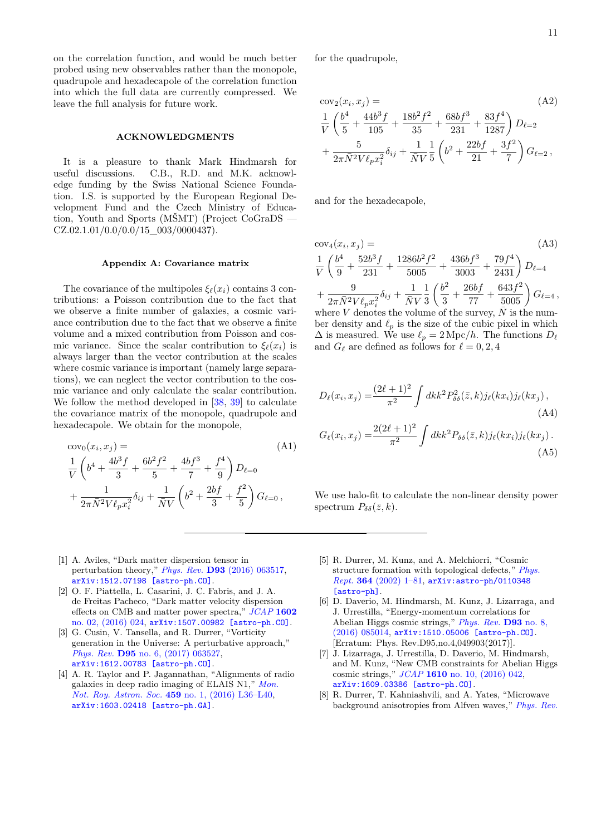on the correlation function, and would be much better probed using new observables rather than the monopole, quadrupole and hexadecapole of the correlation function into which the full data are currently compressed. We leave the full analysis for future work.

# **ACKNOWLEDGMENTS**

It is a pleasure to thank Mark Hindmarsh for useful discussions. C.B., R.D. and M.K. acknowledge funding by the Swiss National Science Foundation. I.S. is supported by the European Regional Development Fund and the Czech Ministry of Education, Youth and Sports (MŠMT) (Project CoGraDS —  $CZ.02.1.01/0.0/0.0/15$  003/0000437).

### <span id="page-10-7"></span>**Appendix A: Covariance matrix**

The covariance of the multipoles  $\xi_{\ell}(x_i)$  contains 3 contributions: a Poisson contribution due to the fact that we observe a finite number of galaxies, a cosmic variance contribution due to the fact that we observe a finite volume and a mixed contribution from Poisson and cosmic variance. Since the scalar contribution to  $\xi_{\ell}(x_i)$  is always larger than the vector contribution at the scales where cosmic variance is important (namely large separations), we can neglect the vector contribution to the cosmic variance and only calculate the scalar contribution. We follow the method developed in [\[38,](#page-11-24) [39\]](#page-11-25) to calculate the covariance matrix of the monopole, quadrupole and hexadecapole. We obtain for the monopole,

$$
\begin{aligned}\n\text{cov}_0(x_i, x_j) &= \n\frac{1}{V} \left( b^4 + \frac{4b^3 f}{3} + \frac{6b^2 f^2}{5} + \frac{4b f^3}{7} + \frac{f^4}{9} \right) D_{\ell=0} \\
&+ \frac{1}{2\pi \bar{N}^2 V \ell_p x_i^2} \delta_{ij} + \frac{1}{\bar{N}V} \left( b^2 + \frac{2b f}{3} + \frac{f^2}{5} \right) G_{\ell=0} \,,\n\end{aligned} \tag{A1}
$$

for the quadrupole,

$$
\begin{aligned}\n\text{cov}_2(x_i, x_j) &= \n\frac{1}{V} \left( \frac{b^4}{5} + \frac{44b^3 f}{105} + \frac{18b^2 f^2}{35} + \frac{68bf^3}{231} + \frac{83f^4}{1287} \right) D_{\ell=2} \\
&+ \frac{5}{2\pi \bar{N}^2 V \ell_p x_i^2} \delta_{ij} + \frac{1}{\bar{N}V} \frac{1}{5} \left( b^2 + \frac{22bf^2 f}{21} + \frac{3f^2}{7} \right) G_{\ell=2} \,,\n\end{aligned}
$$

and for the hexadecapole,

<span id="page-10-9"></span>
$$
\cos_4(x_i, x_j) = \frac{1}{V} \left( \frac{b^4}{9} + \frac{52b^3f}{231} + \frac{1286b^2f^2}{5005} + \frac{436bf^3}{3003} + \frac{79f^4}{2431} \right) D_{\ell=4}
$$
  
+ 
$$
\frac{9}{2\pi \bar{N}^2 V \ell_p x_i^2} \delta_{ij} + \frac{1}{\bar{N}V} \frac{1}{3} \left( \frac{b^2}{3} + \frac{26bff}{77} + \frac{643f^2}{5005} \right) G_{\ell=4},
$$

where  $V$  denotes the volume of the survey,  $N$  is the number density and  $\ell_p$  is the size of the cubic pixel in which  $\Delta$  is measured. We use  $\ell_p = 2 \text{ Mpc}/h$ . The functions  $D_\ell$ and  $G_{\ell}$  are defined as follows for  $\ell = 0, 2, 4$ 

<span id="page-10-8"></span>
$$
D_{\ell}(x_i, x_j) = \frac{(2\ell+1)^2}{\pi^2} \int dk k^2 P_{\delta\delta}^2(\bar{z}, k) j_{\ell}(kx_i) j_{\ell}(kx_j),
$$
\n(A4)\n
$$
G_{\ell}(x_i, x_j) = \frac{2(2\ell+1)^2}{\pi^2} \int dk k^2 P_{\delta\delta}(\bar{z}, k) j_{\ell}(kx_i) j_{\ell}(kx_j).
$$
\n(A5)

We use halo-fit to calculate the non-linear density power spectrum  $P_{\delta\delta}(\bar{z},k)$ .

- <span id="page-10-0"></span>[1] A. Aviles, "Dark matter dispersion tensor in perturbation theory," *Phys. Rev.* **D93** [\(2016\) 063517,](http://dx.doi.org/10.1103/PhysRevD.93.063517) [arXiv:1512.07198 \[astro-ph.CO\]](http://arxiv.org/abs/1512.07198).
- [2] O. F. Piattella, L. Casarini, J. C. Fabris, and J. A. de Freitas Pacheco, "Dark matter velocity dispersion effects on CMB and matter power spectra," *[JCAP](http://dx.doi.org/10.1088/1475-7516/2016/02/024)* **1602** [no. 02, \(2016\) 024,](http://dx.doi.org/10.1088/1475-7516/2016/02/024) [arXiv:1507.00982 \[astro-ph.CO\]](http://arxiv.org/abs/1507.00982).
- <span id="page-10-1"></span>[3] G. Cusin, V. Tansella, and R. Durrer, "Vorticity generation in the Universe: A perturbative approach," *Phys. Rev.* **D95** [no. 6, \(2017\) 063527,](http://dx.doi.org/10.1103/PhysRevD.95.063527) [arXiv:1612.00783 \[astro-ph.CO\]](http://arxiv.org/abs/1612.00783).
- <span id="page-10-2"></span>[4] A. R. Taylor and P. Jagannathan, "Alignments of radio galaxies in deep radio imaging of ELAIS N1," *[Mon.](http://dx.doi.org/10.1093/mnrasl/slw038) [Not. Roy. Astron. Soc.](http://dx.doi.org/10.1093/mnrasl/slw038)* **459** no. 1, (2016) L36–L40, [arXiv:1603.02418 \[astro-ph.GA\]](http://arxiv.org/abs/1603.02418).
- <span id="page-10-3"></span>[5] R. Durrer, M. Kunz, and A. Melchiorri, "Cosmic structure formation with topological defects," *[Phys.](http://dx.doi.org/10.1016/S0370-1573(02)00014-5) Rept.* **364** [\(2002\) 1–81,](http://dx.doi.org/10.1016/S0370-1573(02)00014-5) [arXiv:astro-ph/0110348](http://arxiv.org/abs/astro-ph/0110348) [\[astro-ph\]](http://arxiv.org/abs/astro-ph/0110348).
- <span id="page-10-6"></span>[6] D. Daverio, M. Hindmarsh, M. Kunz, J. Lizarraga, and J. Urrestilla, "Energy-momentum correlations for Abelian Higgs cosmic strings," *[Phys. Rev.](http://dx.doi.org/10.1103/PhysRevD.95.049903, 10.1103/PhysRevD.93.085014)* **D93** no. 8, [\(2016\) 085014,](http://dx.doi.org/10.1103/PhysRevD.95.049903, 10.1103/PhysRevD.93.085014) [arXiv:1510.05006 \[astro-ph.CO\]](http://arxiv.org/abs/1510.05006). [Erratum: Phys. Rev.D95,no.4,049903(2017)].
- <span id="page-10-4"></span>[7] J. Lizarraga, J. Urrestilla, D. Daverio, M. Hindmarsh, and M. Kunz, "New CMB constraints for Abelian Higgs cosmic strings," *JCAP* **1610** [no. 10, \(2016\) 042,](http://dx.doi.org/10.1088/1475-7516/2016/10/042) [arXiv:1609.03386 \[astro-ph.CO\]](http://arxiv.org/abs/1609.03386).
- <span id="page-10-5"></span>[8] R. Durrer, T. Kahniashvili, and A. Yates, "Microwave background anisotropies from Alfven waves," *[Phys. Rev.](http://dx.doi.org/10.1103/PhysRevD.58.123004)*